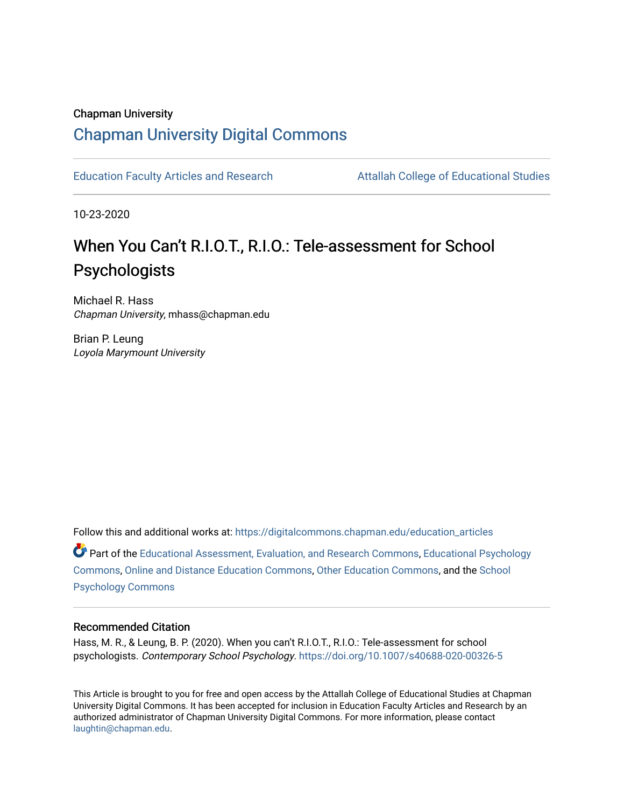# Chapman University [Chapman University Digital Commons](https://digitalcommons.chapman.edu/)

[Education Faculty Articles and Research](https://digitalcommons.chapman.edu/education_articles) [Attallah College of Educational Studies](https://digitalcommons.chapman.edu/ces) 

10-23-2020

# When You Can't R.I.O.T., R.I.O.: Tele-assessment for School Psychologists

Michael R. Hass Chapman University, mhass@chapman.edu

Brian P. Leung Loyola Marymount University

Follow this and additional works at: [https://digitalcommons.chapman.edu/education\\_articles](https://digitalcommons.chapman.edu/education_articles?utm_source=digitalcommons.chapman.edu%2Feducation_articles%2F273&utm_medium=PDF&utm_campaign=PDFCoverPages)

Part of the [Educational Assessment, Evaluation, and Research Commons](http://network.bepress.com/hgg/discipline/796?utm_source=digitalcommons.chapman.edu%2Feducation_articles%2F273&utm_medium=PDF&utm_campaign=PDFCoverPages), [Educational Psychology](http://network.bepress.com/hgg/discipline/798?utm_source=digitalcommons.chapman.edu%2Feducation_articles%2F273&utm_medium=PDF&utm_campaign=PDFCoverPages) [Commons](http://network.bepress.com/hgg/discipline/798?utm_source=digitalcommons.chapman.edu%2Feducation_articles%2F273&utm_medium=PDF&utm_campaign=PDFCoverPages), [Online and Distance Education Commons](http://network.bepress.com/hgg/discipline/1296?utm_source=digitalcommons.chapman.edu%2Feducation_articles%2F273&utm_medium=PDF&utm_campaign=PDFCoverPages), [Other Education Commons,](http://network.bepress.com/hgg/discipline/811?utm_source=digitalcommons.chapman.edu%2Feducation_articles%2F273&utm_medium=PDF&utm_campaign=PDFCoverPages) and the [School](http://network.bepress.com/hgg/discipline/1072?utm_source=digitalcommons.chapman.edu%2Feducation_articles%2F273&utm_medium=PDF&utm_campaign=PDFCoverPages) [Psychology Commons](http://network.bepress.com/hgg/discipline/1072?utm_source=digitalcommons.chapman.edu%2Feducation_articles%2F273&utm_medium=PDF&utm_campaign=PDFCoverPages) 

#### Recommended Citation

Hass, M. R., & Leung, B. P. (2020). When you can't R.I.O.T., R.I.O.: Tele-assessment for school psychologists. Contemporary School Psychology. <https://doi.org/10.1007/s40688-020-00326-5>

This Article is brought to you for free and open access by the Attallah College of Educational Studies at Chapman University Digital Commons. It has been accepted for inclusion in Education Faculty Articles and Research by an authorized administrator of Chapman University Digital Commons. For more information, please contact [laughtin@chapman.edu.](mailto:laughtin@chapman.edu)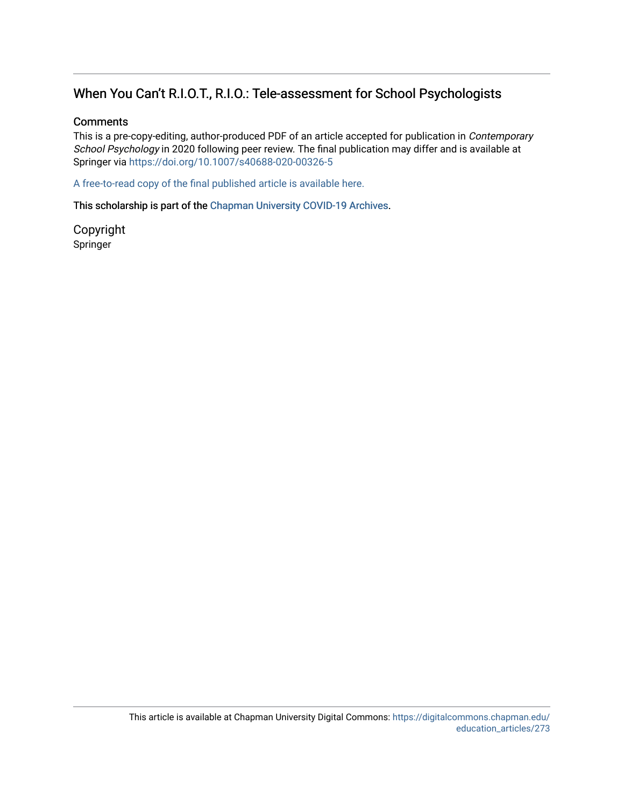# When You Can't R.I.O.T., R.I.O.: Tele-assessment for School Psychologists

## **Comments**

This is a pre-copy-editing, author-produced PDF of an article accepted for publication in Contemporary School Psychology in 2020 following peer review. The final publication may differ and is available at Springer via <https://doi.org/10.1007/s40688-020-00326-5>

[A free-to-read copy of the final published article is available here.](https://rdcu.be/caIqV) 

This scholarship is part of the [Chapman University COVID-19 Archives](https://digitalcommons.chapman.edu/covid-19_archives/).

Copyright Springer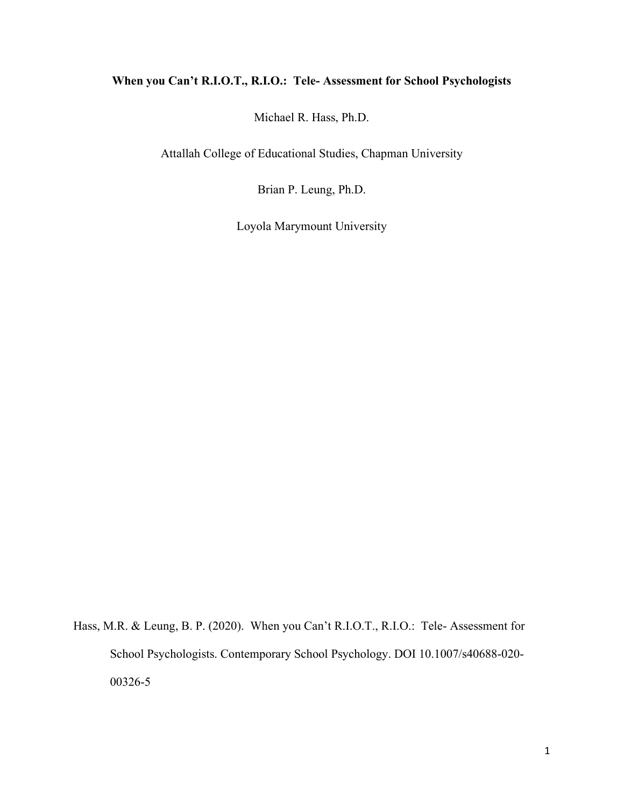# **When you Can't R.I.O.T., R.I.O.: Tele- Assessment for School Psychologists**

Michael R. Hass, Ph.D.

Attallah College of Educational Studies, Chapman University

Brian P. Leung, Ph.D.

Loyola Marymount University

Hass, M.R. & Leung, B. P. (2020). When you Can't R.I.O.T., R.I.O.: Tele- Assessment for School Psychologists. Contemporary School Psychology. DOI 10.1007/s40688-020- 00326-5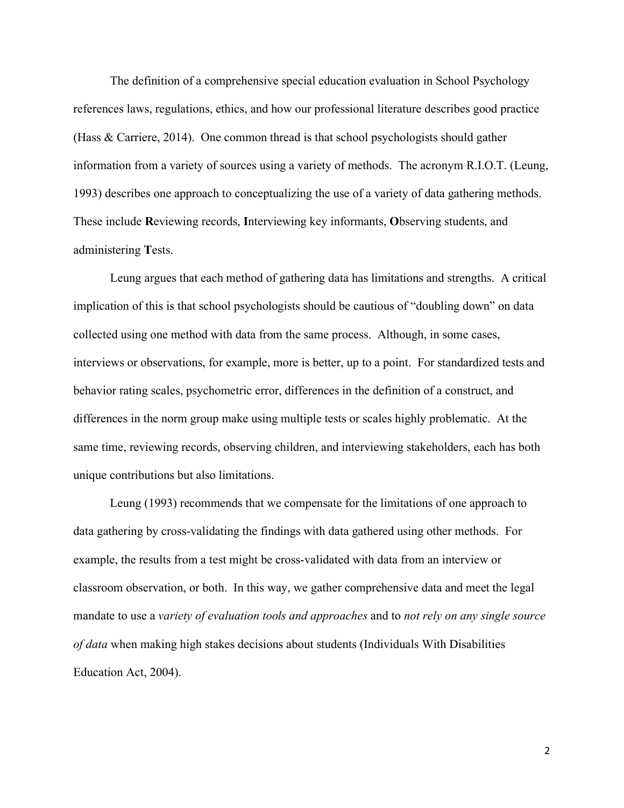The definition of a comprehensive special education evaluation in School Psychology references laws, regulations, ethics, and how our professional literature describes good practice (Hass & Carriere, 2014). One common thread is that school psychologists should gather information from a variety of sources using a variety of methods. The acronym R.I.O.T. (Leung, 1993) describes one approach to conceptualizing the use of a variety of data gathering methods. These include **R**eviewing records, **I**nterviewing key informants, **O**bserving students, and administering **T**ests.

Leung argues that each method of gathering data has limitations and strengths. A critical implication of this is that school psychologists should be cautious of "doubling down" on data collected using one method with data from the same process. Although, in some cases, interviews or observations, for example, more is better, up to a point. For standardized tests and behavior rating scales, psychometric error, differences in the definition of a construct, and differences in the norm group make using multiple tests or scales highly problematic. At the same time, reviewing records, observing children, and interviewing stakeholders, each has both unique contributions but also limitations.

Leung (1993) recommends that we compensate for the limitations of one approach to data gathering by cross-validating the findings with data gathered using other methods. For example, the results from a test might be cross-validated with data from an interview or classroom observation, or both. In this way, we gather comprehensive data and meet the legal mandate to use a *variety of evaluation tools and approaches* and to *not rely on any single source of data* when making high stakes decisions about students (Individuals With Disabilities Education Act, 2004).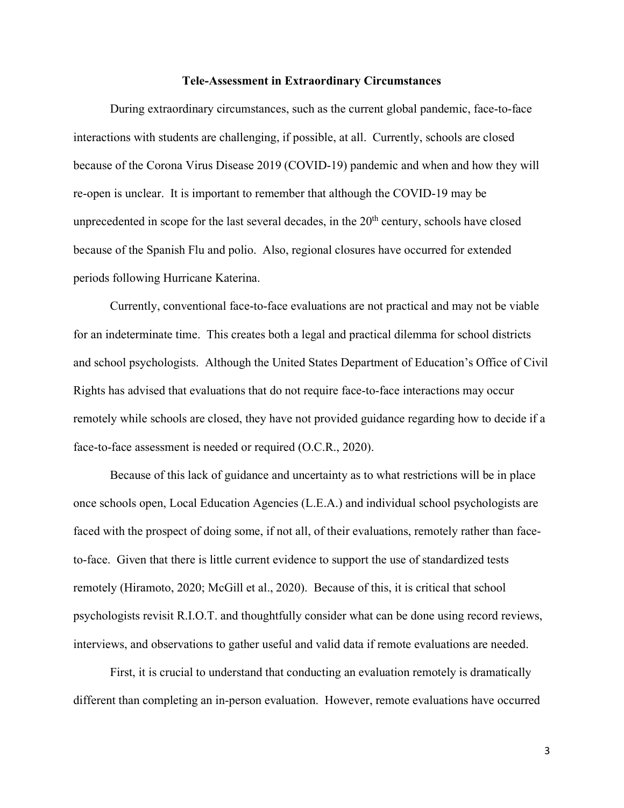#### **Tele-Assessment in Extraordinary Circumstances**

During extraordinary circumstances, such as the current global pandemic, face-to-face interactions with students are challenging, if possible, at all. Currently, schools are closed because of the Corona Virus Disease 2019 (COVID-19) pandemic and when and how they will re-open is unclear. It is important to remember that although the COVID-19 may be unprecedented in scope for the last several decades, in the  $20<sup>th</sup>$  century, schools have closed because of the Spanish Flu and polio. Also, regional closures have occurred for extended periods following Hurricane Katerina.

Currently, conventional face-to-face evaluations are not practical and may not be viable for an indeterminate time. This creates both a legal and practical dilemma for school districts and school psychologists. Although the United States Department of Education's Office of Civil Rights has advised that evaluations that do not require face-to-face interactions may occur remotely while schools are closed, they have not provided guidance regarding how to decide if a face-to-face assessment is needed or required (O.C.R., 2020).

Because of this lack of guidance and uncertainty as to what restrictions will be in place once schools open, Local Education Agencies (L.E.A.) and individual school psychologists are faced with the prospect of doing some, if not all, of their evaluations, remotely rather than faceto-face. Given that there is little current evidence to support the use of standardized tests remotely (Hiramoto, 2020; McGill et al., 2020). Because of this, it is critical that school psychologists revisit R.I.O.T. and thoughtfully consider what can be done using record reviews, interviews, and observations to gather useful and valid data if remote evaluations are needed.

First, it is crucial to understand that conducting an evaluation remotely is dramatically different than completing an in-person evaluation. However, remote evaluations have occurred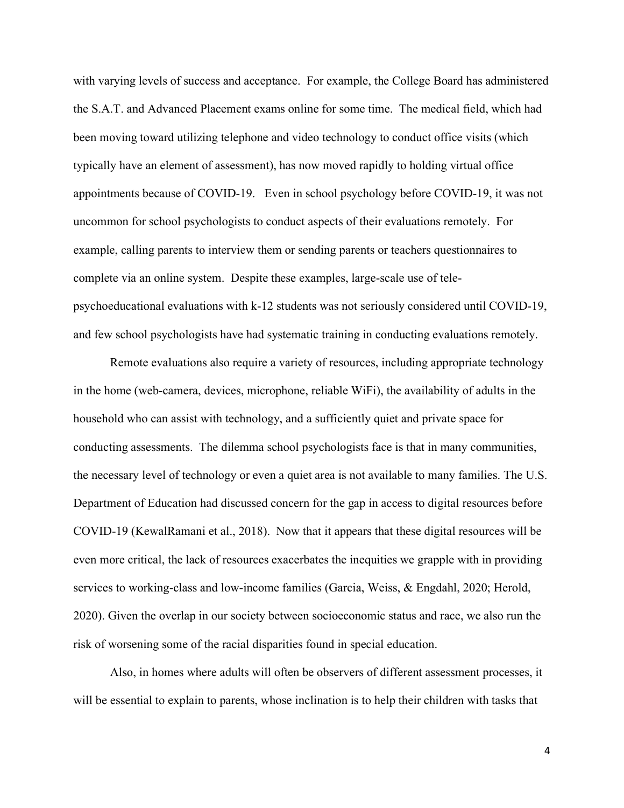with varying levels of success and acceptance. For example, the College Board has administered the S.A.T. and Advanced Placement exams online for some time. The medical field, which had been moving toward utilizing telephone and video technology to conduct office visits (which typically have an element of assessment), has now moved rapidly to holding virtual office appointments because of COVID-19. Even in school psychology before COVID-19, it was not uncommon for school psychologists to conduct aspects of their evaluations remotely. For example, calling parents to interview them or sending parents or teachers questionnaires to complete via an online system. Despite these examples, large-scale use of telepsychoeducational evaluations with k-12 students was not seriously considered until COVID-19, and few school psychologists have had systematic training in conducting evaluations remotely.

Remote evaluations also require a variety of resources, including appropriate technology in the home (web-camera, devices, microphone, reliable WiFi), the availability of adults in the household who can assist with technology, and a sufficiently quiet and private space for conducting assessments. The dilemma school psychologists face is that in many communities, the necessary level of technology or even a quiet area is not available to many families. The U.S. Department of Education had discussed concern for the gap in access to digital resources before COVID-19 (KewalRamani et al., 2018). Now that it appears that these digital resources will be even more critical, the lack of resources exacerbates the inequities we grapple with in providing services to working-class and low-income families (Garcia, Weiss, & Engdahl, 2020; Herold, 2020). Given the overlap in our society between socioeconomic status and race, we also run the risk of worsening some of the racial disparities found in special education.

Also, in homes where adults will often be observers of different assessment processes, it will be essential to explain to parents, whose inclination is to help their children with tasks that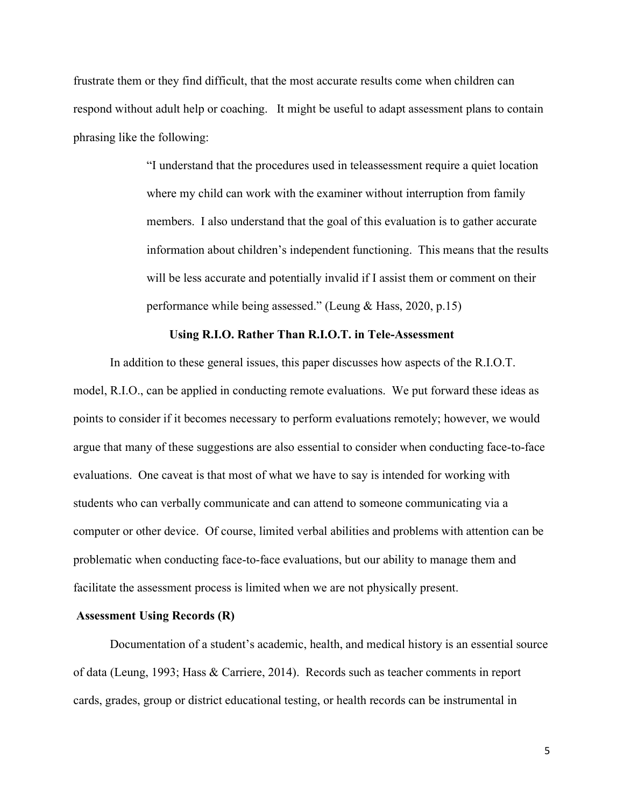frustrate them or they find difficult, that the most accurate results come when children can respond without adult help or coaching. It might be useful to adapt assessment plans to contain phrasing like the following:

> "I understand that the procedures used in teleassessment require a quiet location where my child can work with the examiner without interruption from family members. I also understand that the goal of this evaluation is to gather accurate information about children's independent functioning. This means that the results will be less accurate and potentially invalid if I assist them or comment on their performance while being assessed." (Leung & Hass, 2020, p.15)

### **Using R.I.O. Rather Than R.I.O.T. in Tele-Assessment**

In addition to these general issues, this paper discusses how aspects of the R.I.O.T. model, R.I.O., can be applied in conducting remote evaluations. We put forward these ideas as points to consider if it becomes necessary to perform evaluations remotely; however, we would argue that many of these suggestions are also essential to consider when conducting face-to-face evaluations. One caveat is that most of what we have to say is intended for working with students who can verbally communicate and can attend to someone communicating via a computer or other device. Of course, limited verbal abilities and problems with attention can be problematic when conducting face-to-face evaluations, but our ability to manage them and facilitate the assessment process is limited when we are not physically present.

#### **Assessment Using Records (R)**

Documentation of a student's academic, health, and medical history is an essential source of data (Leung, 1993; Hass & Carriere, 2014). Records such as teacher comments in report cards, grades, group or district educational testing, or health records can be instrumental in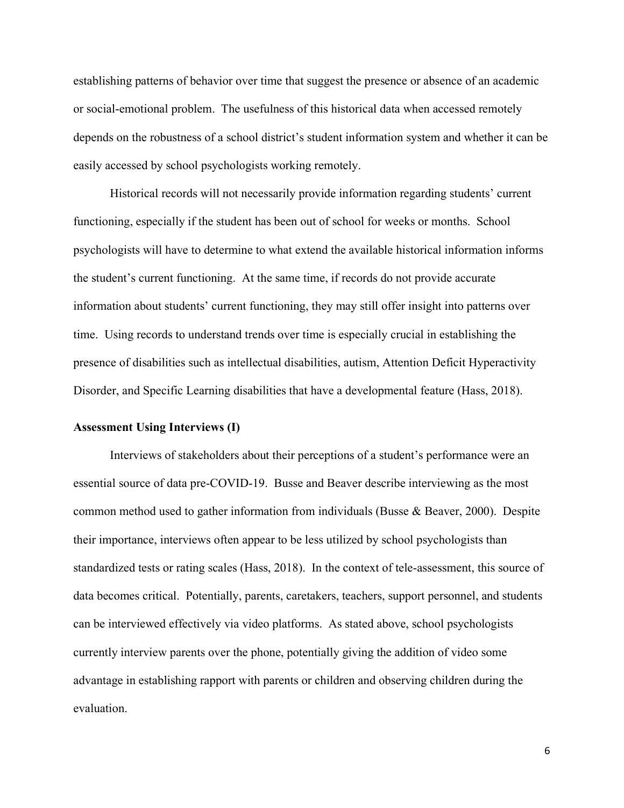establishing patterns of behavior over time that suggest the presence or absence of an academic or social-emotional problem. The usefulness of this historical data when accessed remotely depends on the robustness of a school district's student information system and whether it can be easily accessed by school psychologists working remotely.

Historical records will not necessarily provide information regarding students' current functioning, especially if the student has been out of school for weeks or months. School psychologists will have to determine to what extend the available historical information informs the student's current functioning. At the same time, if records do not provide accurate information about students' current functioning, they may still offer insight into patterns over time. Using records to understand trends over time is especially crucial in establishing the presence of disabilities such as intellectual disabilities, autism, Attention Deficit Hyperactivity Disorder, and Specific Learning disabilities that have a developmental feature (Hass, 2018).

### **Assessment Using Interviews (I)**

Interviews of stakeholders about their perceptions of a student's performance were an essential source of data pre-COVID-19. Busse and Beaver describe interviewing as the most common method used to gather information from individuals (Busse & Beaver, 2000). Despite their importance, interviews often appear to be less utilized by school psychologists than standardized tests or rating scales (Hass, 2018). In the context of tele-assessment, this source of data becomes critical. Potentially, parents, caretakers, teachers, support personnel, and students can be interviewed effectively via video platforms. As stated above, school psychologists currently interview parents over the phone, potentially giving the addition of video some advantage in establishing rapport with parents or children and observing children during the evaluation.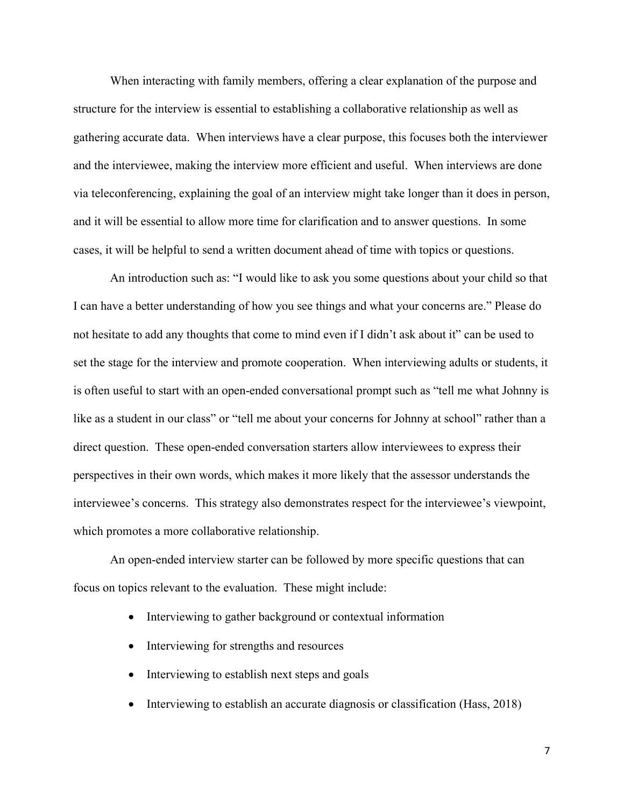When interacting with family members, offering a clear explanation of the purpose and structure for the interview is essential to establishing a collaborative relationship as well as gathering accurate data. When interviews have a clear purpose, this focuses both the interviewer and the interviewee, making the interview more efficient and useful. When interviews are done via teleconferencing, explaining the goal of an interview might take longer than it does in person, and it will be essential to allow more time for clarification and to answer questions. In some cases, it will be helpful to send a written document ahead of time with topics or questions.

An introduction such as: "I would like to ask you some questions about your child so that I can have a better understanding of how you see things and what your concerns are." Please do not hesitate to add any thoughts that come to mind even if I didn't ask about it" can be used to set the stage for the interview and promote cooperation. When interviewing adults or students, it is often useful to start with an open-ended conversational prompt such as "tell me what Johnny is like as a student in our class" or "tell me about your concerns for Johnny at school" rather than a direct question. These open-ended conversation starters allow interviewees to express their perspectives in their own words, which makes it more likely that the assessor understands the interviewee's concerns. This strategy also demonstrates respect for the interviewee's viewpoint, which promotes a more collaborative relationship.

An open-ended interview starter can be followed by more specific questions that can focus on topics relevant to the evaluation. These might include:

- Interviewing to gather background or contextual information
- Interviewing for strengths and resources
- Interviewing to establish next steps and goals
- Interviewing to establish an accurate diagnosis or classification (Hass, 2018)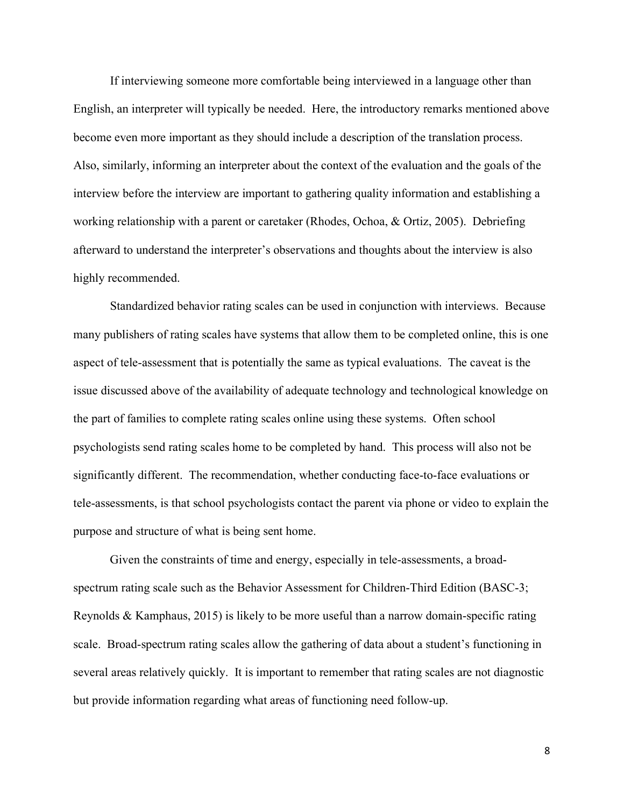If interviewing someone more comfortable being interviewed in a language other than English, an interpreter will typically be needed. Here, the introductory remarks mentioned above become even more important as they should include a description of the translation process. Also, similarly, informing an interpreter about the context of the evaluation and the goals of the interview before the interview are important to gathering quality information and establishing a working relationship with a parent or caretaker (Rhodes, Ochoa, & Ortiz, 2005). Debriefing afterward to understand the interpreter's observations and thoughts about the interview is also highly recommended.

Standardized behavior rating scales can be used in conjunction with interviews. Because many publishers of rating scales have systems that allow them to be completed online, this is one aspect of tele-assessment that is potentially the same as typical evaluations. The caveat is the issue discussed above of the availability of adequate technology and technological knowledge on the part of families to complete rating scales online using these systems. Often school psychologists send rating scales home to be completed by hand. This process will also not be significantly different. The recommendation, whether conducting face-to-face evaluations or tele-assessments, is that school psychologists contact the parent via phone or video to explain the purpose and structure of what is being sent home.

Given the constraints of time and energy, especially in tele-assessments, a broadspectrum rating scale such as the Behavior Assessment for Children-Third Edition (BASC-3; Reynolds & Kamphaus, 2015) is likely to be more useful than a narrow domain-specific rating scale. Broad-spectrum rating scales allow the gathering of data about a student's functioning in several areas relatively quickly. It is important to remember that rating scales are not diagnostic but provide information regarding what areas of functioning need follow-up.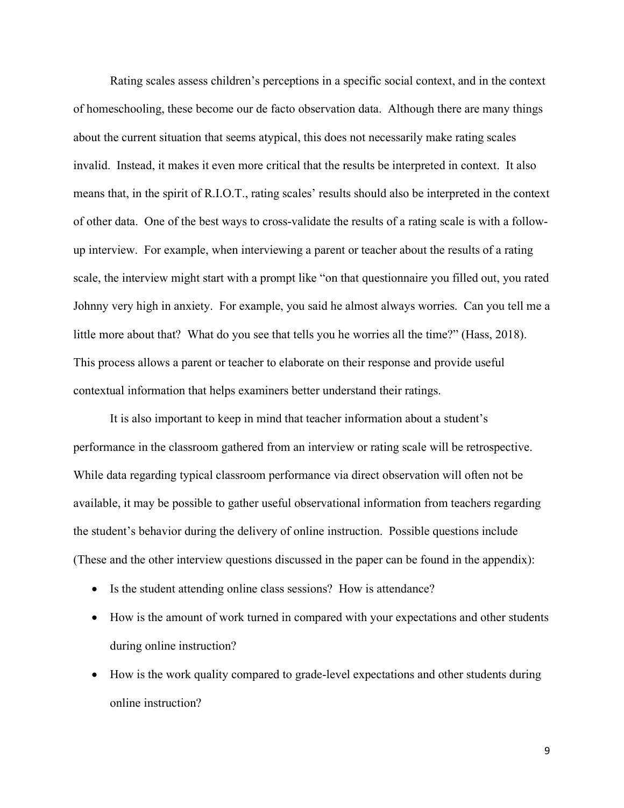Rating scales assess children's perceptions in a specific social context, and in the context of homeschooling, these become our de facto observation data. Although there are many things about the current situation that seems atypical, this does not necessarily make rating scales invalid. Instead, it makes it even more critical that the results be interpreted in context. It also means that, in the spirit of R.I.O.T., rating scales' results should also be interpreted in the context of other data. One of the best ways to cross-validate the results of a rating scale is with a followup interview. For example, when interviewing a parent or teacher about the results of a rating scale, the interview might start with a prompt like "on that questionnaire you filled out, you rated Johnny very high in anxiety. For example, you said he almost always worries. Can you tell me a little more about that? What do you see that tells you he worries all the time?" (Hass, 2018). This process allows a parent or teacher to elaborate on their response and provide useful contextual information that helps examiners better understand their ratings.

It is also important to keep in mind that teacher information about a student's performance in the classroom gathered from an interview or rating scale will be retrospective. While data regarding typical classroom performance via direct observation will often not be available, it may be possible to gather useful observational information from teachers regarding the student's behavior during the delivery of online instruction. Possible questions include (These and the other interview questions discussed in the paper can be found in the appendix):

- Is the student attending online class sessions? How is attendance?
- How is the amount of work turned in compared with your expectations and other students during online instruction?
- How is the work quality compared to grade-level expectations and other students during online instruction?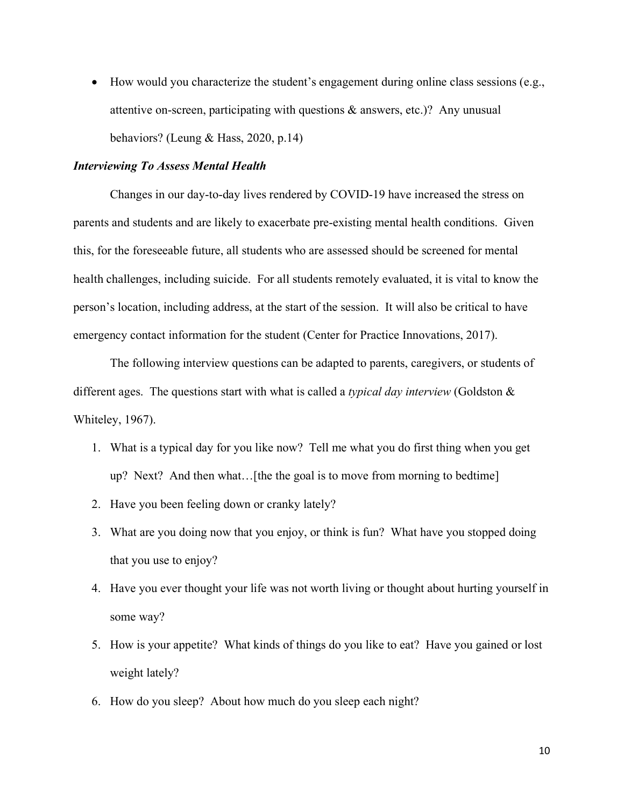• How would you characterize the student's engagement during online class sessions (e.g., attentive on-screen, participating with questions & answers, etc.)? Any unusual behaviors? (Leung & Hass, 2020, p.14)

## *Interviewing To Assess Mental Health*

Changes in our day-to-day lives rendered by COVID-19 have increased the stress on parents and students and are likely to exacerbate pre-existing mental health conditions. Given this, for the foreseeable future, all students who are assessed should be screened for mental health challenges, including suicide. For all students remotely evaluated, it is vital to know the person's location, including address, at the start of the session. It will also be critical to have emergency contact information for the student (Center for Practice Innovations, 2017).

The following interview questions can be adapted to parents, caregivers, or students of different ages. The questions start with what is called a *typical day interview* (Goldston & Whiteley, 1967).

- 1. What is a typical day for you like now? Tell me what you do first thing when you get up? Next? And then what…[the the goal is to move from morning to bedtime]
- 2. Have you been feeling down or cranky lately?
- 3. What are you doing now that you enjoy, or think is fun? What have you stopped doing that you use to enjoy?
- 4. Have you ever thought your life was not worth living or thought about hurting yourself in some way?
- 5. How is your appetite? What kinds of things do you like to eat? Have you gained or lost weight lately?
- 6. How do you sleep? About how much do you sleep each night?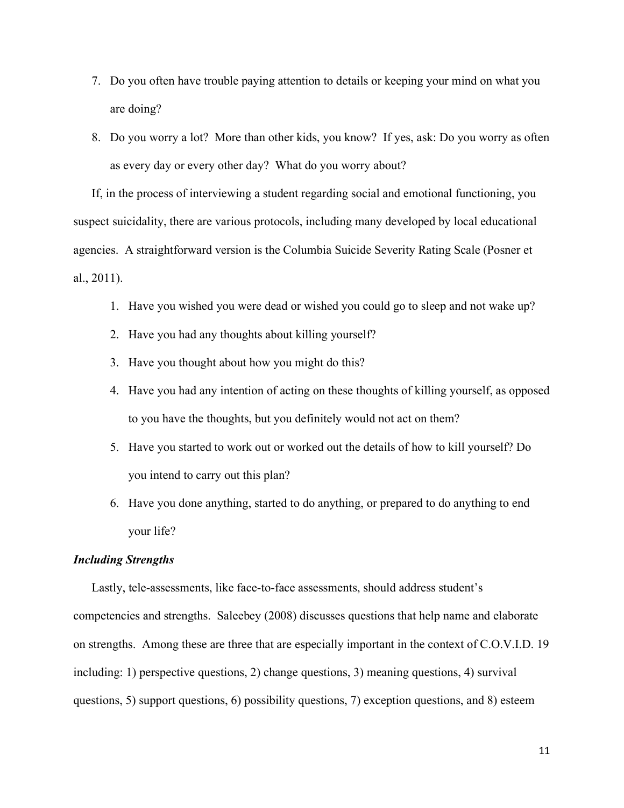- 7. Do you often have trouble paying attention to details or keeping your mind on what you are doing?
- 8. Do you worry a lot? More than other kids, you know? If yes, ask: Do you worry as often as every day or every other day? What do you worry about?

If, in the process of interviewing a student regarding social and emotional functioning, you suspect suicidality, there are various protocols, including many developed by local educational agencies. A straightforward version is the Columbia Suicide Severity Rating Scale (Posner et al., 2011).

- 1. Have you wished you were dead or wished you could go to sleep and not wake up?
- 2. Have you had any thoughts about killing yourself?
- 3. Have you thought about how you might do this?
- 4. Have you had any intention of acting on these thoughts of killing yourself, as opposed to you have the thoughts, but you definitely would not act on them?
- 5. Have you started to work out or worked out the details of how to kill yourself? Do you intend to carry out this plan?
- 6. Have you done anything, started to do anything, or prepared to do anything to end your life?

#### *Including Strengths*

Lastly, tele-assessments, like face-to-face assessments, should address student's competencies and strengths. Saleebey (2008) discusses questions that help name and elaborate on strengths. Among these are three that are especially important in the context of C.O.V.I.D. 19 including: 1) perspective questions, 2) change questions, 3) meaning questions, 4) survival questions, 5) support questions, 6) possibility questions, 7) exception questions, and 8) esteem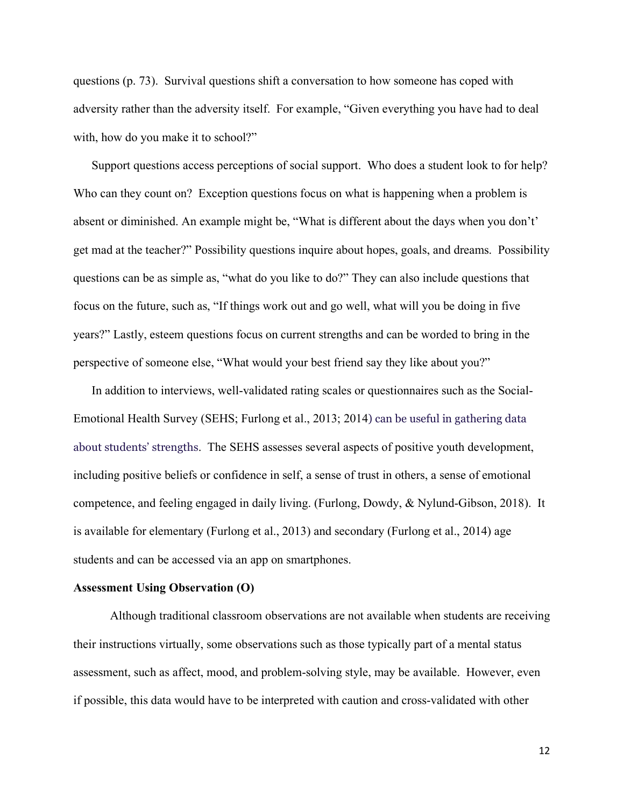questions (p. 73). Survival questions shift a conversation to how someone has coped with adversity rather than the adversity itself. For example, "Given everything you have had to deal with, how do you make it to school?"

Support questions access perceptions of social support. Who does a student look to for help? Who can they count on? Exception questions focus on what is happening when a problem is absent or diminished. An example might be, "What is different about the days when you don't' get mad at the teacher?" Possibility questions inquire about hopes, goals, and dreams. Possibility questions can be as simple as, "what do you like to do?" They can also include questions that focus on the future, such as, "If things work out and go well, what will you be doing in five years?" Lastly, esteem questions focus on current strengths and can be worded to bring in the perspective of someone else, "What would your best friend say they like about you?"

In addition to interviews, well-validated rating scales or questionnaires such as the Social-Emotional Health Survey (SEHS; Furlong et al., 2013; 2014) can be useful in gathering data about students' strengths. The SEHS assesses several aspects of positive youth development, including positive beliefs or confidence in self, a sense of trust in others, a sense of emotional competence, and feeling engaged in daily living. (Furlong, Dowdy, & Nylund-Gibson, 2018). It is available for elementary (Furlong et al., 2013) and secondary (Furlong et al., 2014) age students and can be accessed via an app on smartphones.

#### **Assessment Using Observation (O)**

Although traditional classroom observations are not available when students are receiving their instructions virtually, some observations such as those typically part of a mental status assessment, such as affect, mood, and problem-solving style, may be available. However, even if possible, this data would have to be interpreted with caution and cross-validated with other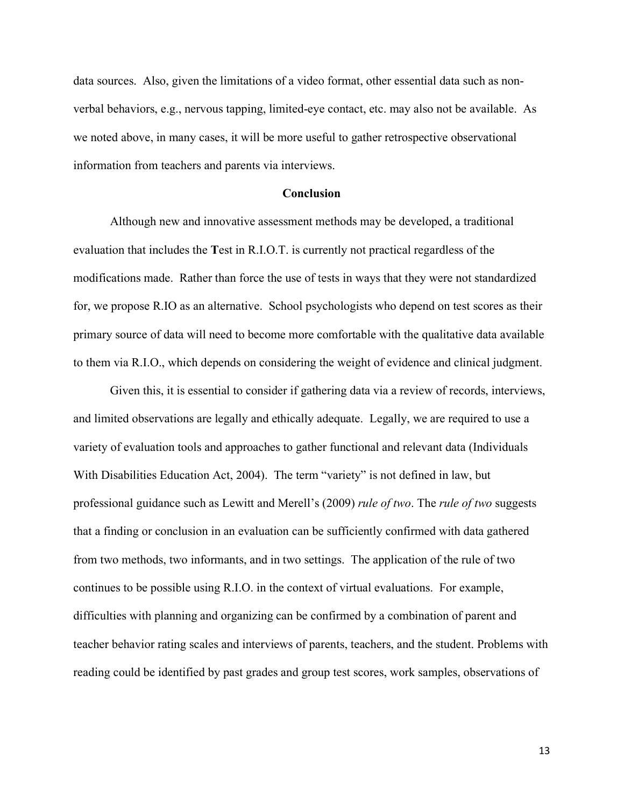data sources. Also, given the limitations of a video format, other essential data such as nonverbal behaviors, e.g., nervous tapping, limited-eye contact, etc. may also not be available. As we noted above, in many cases, it will be more useful to gather retrospective observational information from teachers and parents via interviews.

#### **Conclusion**

Although new and innovative assessment methods may be developed, a traditional evaluation that includes the **T**est in R.I.O.T. is currently not practical regardless of the modifications made. Rather than force the use of tests in ways that they were not standardized for, we propose R.IO as an alternative. School psychologists who depend on test scores as their primary source of data will need to become more comfortable with the qualitative data available to them via R.I.O., which depends on considering the weight of evidence and clinical judgment.

Given this, it is essential to consider if gathering data via a review of records, interviews, and limited observations are legally and ethically adequate. Legally, we are required to use a variety of evaluation tools and approaches to gather functional and relevant data (Individuals With Disabilities Education Act, 2004). The term "variety" is not defined in law, but professional guidance such as Lewitt and Merell's (2009) *rule of two*. The *rule of two* suggests that a finding or conclusion in an evaluation can be sufficiently confirmed with data gathered from two methods, two informants, and in two settings. The application of the rule of two continues to be possible using R.I.O. in the context of virtual evaluations. For example, difficulties with planning and organizing can be confirmed by a combination of parent and teacher behavior rating scales and interviews of parents, teachers, and the student. Problems with reading could be identified by past grades and group test scores, work samples, observations of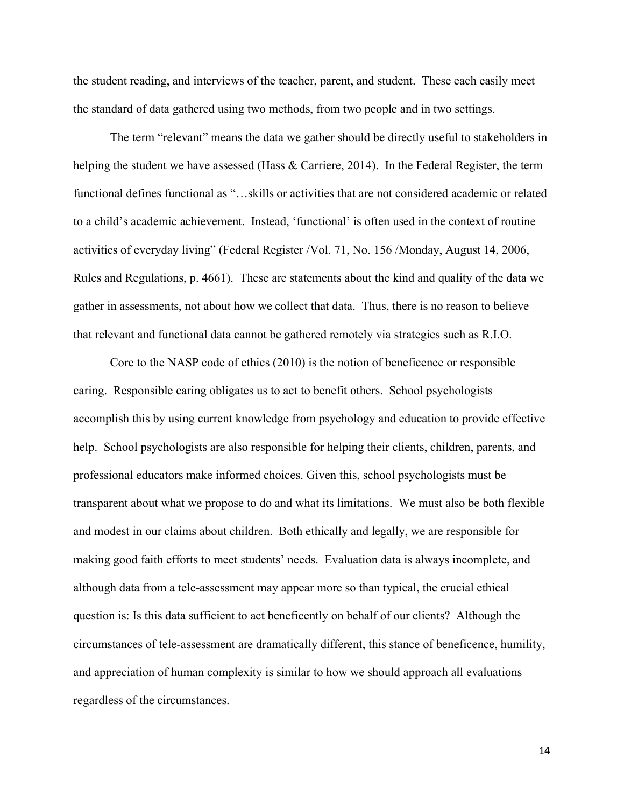the student reading, and interviews of the teacher, parent, and student. These each easily meet the standard of data gathered using two methods, from two people and in two settings.

The term "relevant" means the data we gather should be directly useful to stakeholders in helping the student we have assessed (Hass & Carriere, 2014). In the Federal Register, the term functional defines functional as "…skills or activities that are not considered academic or related to a child's academic achievement. Instead, 'functional' is often used in the context of routine activities of everyday living" (Federal Register /Vol. 71, No. 156 /Monday, August 14, 2006, Rules and Regulations, p. 4661). These are statements about the kind and quality of the data we gather in assessments, not about how we collect that data. Thus, there is no reason to believe that relevant and functional data cannot be gathered remotely via strategies such as R.I.O.

Core to the NASP code of ethics (2010) is the notion of beneficence or responsible caring. Responsible caring obligates us to act to benefit others. School psychologists accomplish this by using current knowledge from psychology and education to provide effective help. School psychologists are also responsible for helping their clients, children, parents, and professional educators make informed choices. Given this, school psychologists must be transparent about what we propose to do and what its limitations. We must also be both flexible and modest in our claims about children. Both ethically and legally, we are responsible for making good faith efforts to meet students' needs. Evaluation data is always incomplete, and although data from a tele-assessment may appear more so than typical, the crucial ethical question is: Is this data sufficient to act beneficently on behalf of our clients? Although the circumstances of tele-assessment are dramatically different, this stance of beneficence, humility, and appreciation of human complexity is similar to how we should approach all evaluations regardless of the circumstances.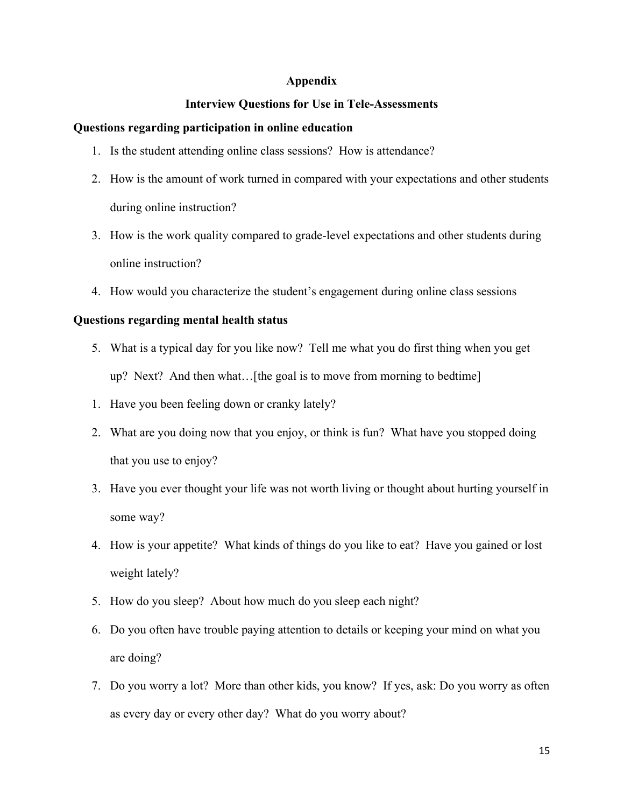## **Appendix**

# **Interview Questions for Use in Tele-Assessments**

## **Questions regarding participation in online education**

- 1. Is the student attending online class sessions? How is attendance?
- 2. How is the amount of work turned in compared with your expectations and other students during online instruction?
- 3. How is the work quality compared to grade-level expectations and other students during online instruction?
- 4. How would you characterize the student's engagement during online class sessions

# **Questions regarding mental health status**

- 5. What is a typical day for you like now? Tell me what you do first thing when you get up? Next? And then what…[the goal is to move from morning to bedtime]
- 1. Have you been feeling down or cranky lately?
- 2. What are you doing now that you enjoy, or think is fun? What have you stopped doing that you use to enjoy?
- 3. Have you ever thought your life was not worth living or thought about hurting yourself in some way?
- 4. How is your appetite? What kinds of things do you like to eat? Have you gained or lost weight lately?
- 5. How do you sleep? About how much do you sleep each night?
- 6. Do you often have trouble paying attention to details or keeping your mind on what you are doing?
- 7. Do you worry a lot? More than other kids, you know? If yes, ask: Do you worry as often as every day or every other day? What do you worry about?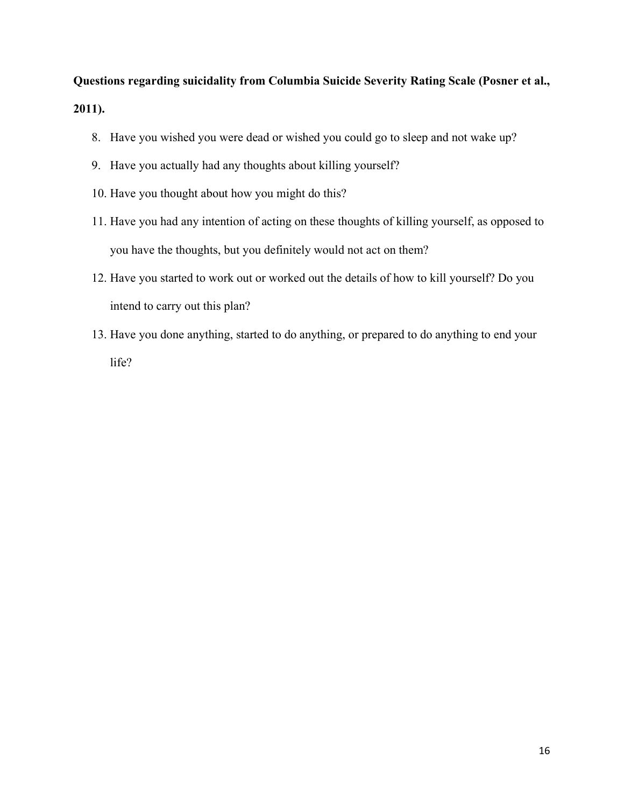**Questions regarding suicidality from Columbia Suicide Severity Rating Scale (Posner et al., 2011).** 

- 8. Have you wished you were dead or wished you could go to sleep and not wake up?
- 9. Have you actually had any thoughts about killing yourself?
- 10. Have you thought about how you might do this?
- 11. Have you had any intention of acting on these thoughts of killing yourself, as opposed to you have the thoughts, but you definitely would not act on them?
- 12. Have you started to work out or worked out the details of how to kill yourself? Do you intend to carry out this plan?
- 13. Have you done anything, started to do anything, or prepared to do anything to end your life?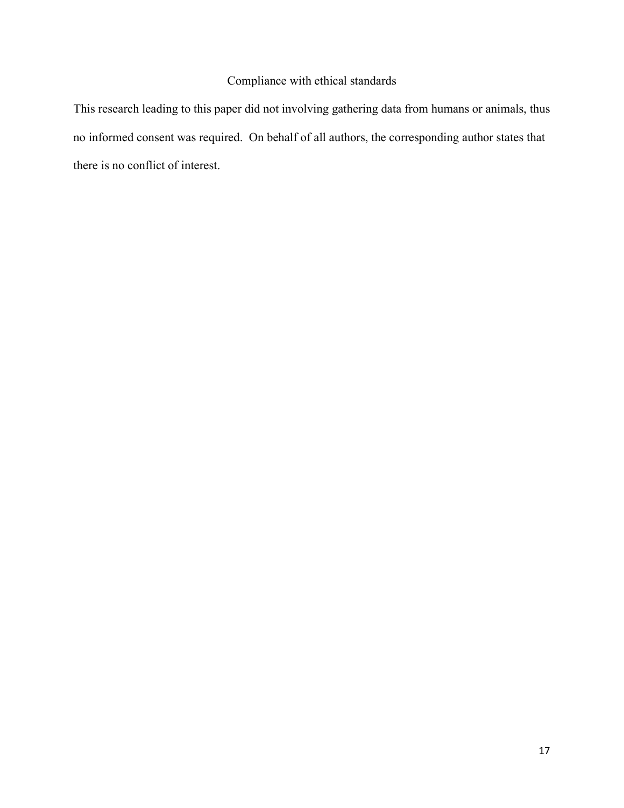# Compliance with ethical standards

This research leading to this paper did not involving gathering data from humans or animals, thus no informed consent was required. On behalf of all authors, the corresponding author states that there is no conflict of interest.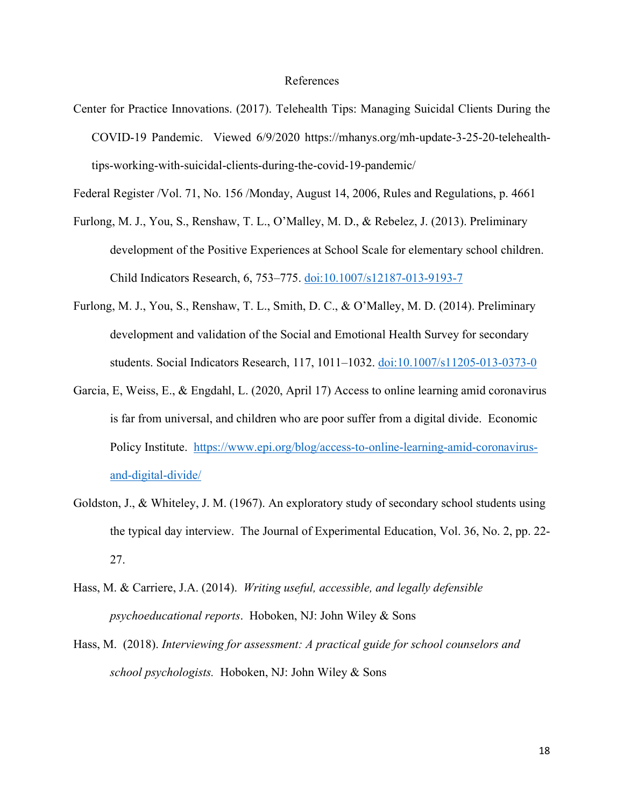#### References

Center for Practice Innovations. (2017). Telehealth Tips: Managing Suicidal Clients During the COVID-19 Pandemic. Viewed 6/9/2020 https://mhanys.org/mh-update-3-25-20-telehealthtips-working-with-suicidal-clients-during-the-covid-19-pandemic/

Federal Register /Vol. 71, No. 156 /Monday, August 14, 2006, Rules and Regulations, p. 4661

- Furlong, M. J., You, S., Renshaw, T. L., O'Malley, M. D., & Rebelez, J. (2013). Preliminary development of the Positive Experiences at School Scale for elementary school children. Child Indicators Research, 6, 753–775. [doi:10.1007/s12187-013-9193-7](https://link.springer.com/article/10.1007/s12187-013-9193-7)
- Furlong, M. J., You, S., Renshaw, T. L., Smith, D. C., & O'Malley, M. D. (2014). Preliminary development and validation of the Social and Emotional Health Survey for secondary students. Social Indicators Research, 117, 1011–1032. [doi:10.1007/s11205-013-0373-0](https://link.springer.com/article/10.1007/s11205-013-0373-0)
- Garcia, E, Weiss, E., & Engdahl, L. (2020, April 17) Access to online learning amid coronavirus is far from universal, and children who are poor suffer from a digital divide. Economic Policy Institute. [https://www.epi.org/blog/access-to-online-learning-amid-coronavirus](https://www.epi.org/blog/access-to-online-learning-amid-coronavirus-and-digital-divide/)[and-digital-divide/](https://www.epi.org/blog/access-to-online-learning-amid-coronavirus-and-digital-divide/)
- Goldston, J., & Whiteley, J. M. (1967). An exploratory study of secondary school students using the typical day interview. The Journal of Experimental Education, Vol. 36, No. 2, pp. 22- 27.
- Hass, M. & Carriere, J.A. (2014). *Writing useful, accessible, and legally defensible psychoeducational reports*. Hoboken, NJ: John Wiley & Sons
- Hass, M. (2018). *Interviewing for assessment: A practical guide for school counselors and school psychologists.* Hoboken, NJ: John Wiley & Sons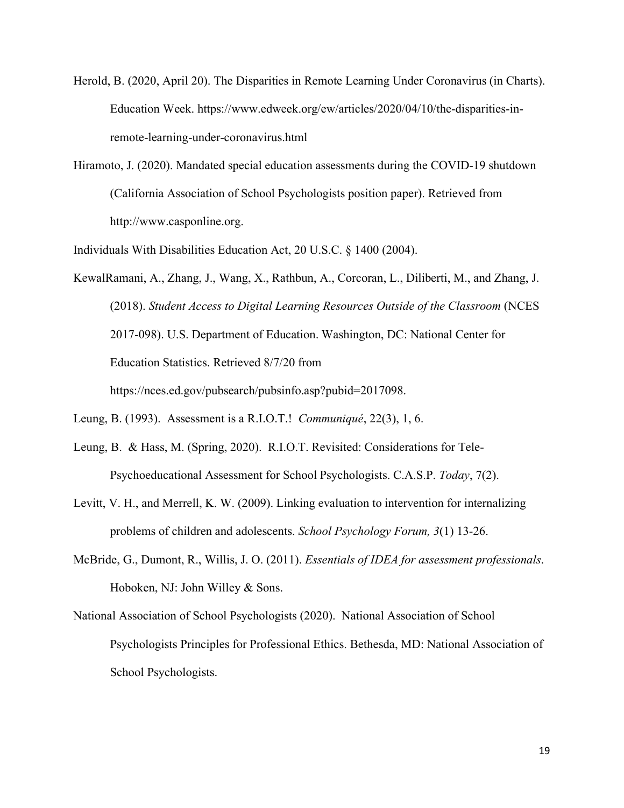- Herold, B. (2020, April 20). The Disparities in Remote Learning Under Coronavirus (in Charts). Education Week. https://www.edweek.org/ew/articles/2020/04/10/the-disparities-inremote-learning-under-coronavirus.html
- Hiramoto, J. (2020). Mandated special education assessments during the COVID-19 shutdown (California Association of School Psychologists position paper). Retrieved from http://www.casponline.org.

Individuals With Disabilities Education Act, 20 U.S.C. § 1400 (2004).

KewalRamani, A., Zhang, J., Wang, X., Rathbun, A., Corcoran, L., Diliberti, M., and Zhang, J. (2018). *Student Access to Digital Learning Resources Outside of the Classroom* (NCES 2017-098). U.S. Department of Education. Washington, DC: National Center for Education Statistics. Retrieved 8/7/20 from https://nces.ed.gov/pubsearch/pubsinfo.asp?pubid=2017098.

- Leung, B. & Hass, M. (Spring, 2020). R.I.O.T. Revisited: Considerations for Tele-Psychoeducational Assessment for School Psychologists. C.A.S.P. *Today*, 7(2).
- Levitt, V. H., and Merrell, K. W. (2009). Linking evaluation to intervention for internalizing problems of children and adolescents. *School Psychology Forum, 3*(1) 13-26.
- McBride, G., Dumont, R., Willis, J. O. (2011). *Essentials of IDEA for assessment professionals*. Hoboken, NJ: John Willey & Sons.
- National Association of School Psychologists (2020). National Association of School Psychologists Principles for Professional Ethics. Bethesda, MD: National Association of School Psychologists.

Leung, B. (1993). Assessment is a R.I.O.T.! *Communiqué*, 22(3), 1, 6.